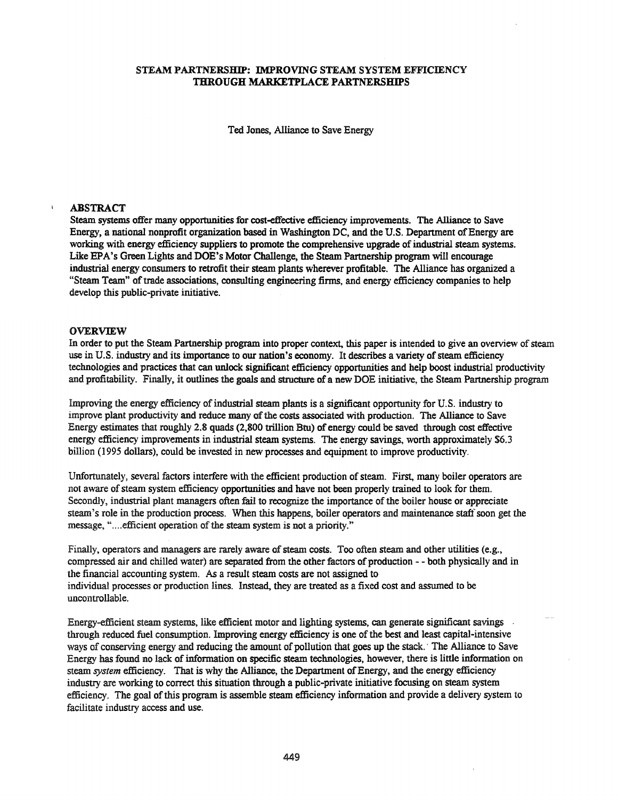# STEAM PARTNERSHIP: IMPROVING STEAM SYSTEM EFFICIENCY THROUGH MARKETPLACE PARTNERSHIPS

Ted Jones, Alliance to Save Energy

#### ABSTRACT

Steam systems offer many opportunities for cost-effective efficiency improvements. The Alliance to Save Energy, a national nonprofit organization based in Washington DC, and the U.S. Department ofEnergy are working with energy efficiency suppliers to promote the comprehensive upgrade of industrial steam systems. Like EPA's Green Lights and DOE's Motor Challenge, the Steam Partnership program will encourage industrial energy consumers to retrofit their steam plants wherever profitable. The Alliance has organized a "Steam Team" of trade associations, consulting engineering firms, and energy efficiency companies to help develop this public-private initiative.

#### OVERVIEW

In order to put the Steam Partnership program into proper context, this paper is intended to give an overview of steam use in U.S. industry and its importance to our nation's economy. It describes a variety of steam efficiency technologies and practices that can unlock significant efficiency opportunities and help boost industrial productivity and profitability. Finally, it outlines the goals and structure of a new DOE initiative, the Steam Partnership program

Improving the energy efficiency of industrial steam plants is a significant opportunity for U.S. industry to improve plant productivity and reduce many of the costs associated with production. The Alliance to Save Energy estimates that roughly 2.8 quads (2,800 trillion Btu) of energy could be saved through cost effective energy efficiency improvements in industrial steam systems. The energy savings, worth approximately \$6.3 billion (1995 dollars), could be invested in new processes and equipment to improve productivity.

Unfortunately, several factors interfere with the efficient production of steam. First, many boiler operators are not aware of steam system efficiency opportunities and have not been properly trained to look for them. Secondly, industrial plant managers often fail to recognize the importance of the boiler house or appreciate steam's role in the production process. When this happens, boiler operators and maintenance staffsoon get the message, "....efficient operation of the steam system is not a priority."

Finally, operators and managers are rarely aware of steam costs. Too often steam and other utilities (e.g., compressed air and chilled water) are separated from the other factors of production - - both physically and in the financial accounting system. As a result steam costs are not assigned to individual processes or production lines. Instead, they are treated as a fixed cost and assumed to be uncontrollable.

Energy-efficient steam systems, like efficient motor and lighting systems, can generate significant savings through reduced fuel consumption. Improving energy efficiency is one ofthe best and least capital-intensive ways of conserving energy and reducing the amount of pollution that goes up the stack. . The Alliance to Save Energy has found no lack ofinformation on specific steam technologies, however, there is little information on steam *system* efficiency. That is why the Alliance, the Department of Energy, and the energy efficiency industry are working to correct this situation through a public-private initiative focusing on steam system efficiency. The goal of this program is assemble steam efficiency information and provide a delivery system to facilitate industry access and use.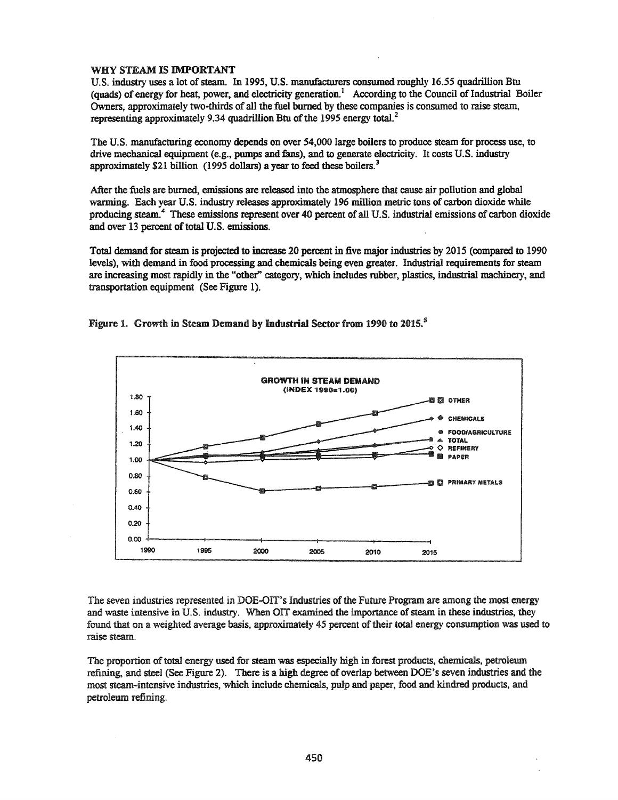## WHY STEAM IS IMPORTANT

U.S. industry uses a lot of steam. In 1995, U.S. manufacturers consumed roughly 16.55 quadrillion Btu (quads) of energy for heat, power, and electricity generation.<sup>1</sup> According to the Council of Industrial Boiler Owners, approximately two-thirds of all the fuel burned by these companies is consumed to raise steam, representing approximately 9.34 quadrillion Btu of the 1995 energy total.<sup>2</sup>

The U.S. manufacturing economy depends on over 54,000 large boilers to produce steam for process use, to drive mechanical equipment (e.g., pumps and fans), and to generate electricity. It costs U.S. industry approximately \$21 billion (1995 dollars) a year to feed these boilers.<sup>3</sup>

After the fuels are burned, emissions are released into the atmosphere that cause air pollution and global warming. Each year U.S. industry releases approximately 196 million metric tons of carbon dioxide while producing steam.<sup>4</sup> These emissions represent over 40 percent of all U.S. industrial emissions of carbon dioxide and over 13 percent of total U.S. emissions.

Total demand for steam is projected to increase 20 percent in five major industries by 2015 (compared to 1990 levels), with demand in food processing and chemicals being even greater. Industrial requirements for steam are increasing most rapidly in the "other" category, which includes rubber, plastics, industrial machinery, and transportation equipment (See Figure 1).





The seven industries represented in DOE-OIT's Industries of the Future Program are among the most energy and waste intensive in U.S. industry. When OIT examined the importance of steam in these industries, they found that on a weighted average basis, approximately 45 percent of their total energy consumption was used to raise steam.

The proportion of total energy used for steam was especially high in forest products, chemicals, petroleum refining, and steel (See Figure 2). There is a high degree of overlap between DOE's seven industries and the most steam-intensive industries, which include chemicals, pulp and paper, food and kindred products, and petroleum refining.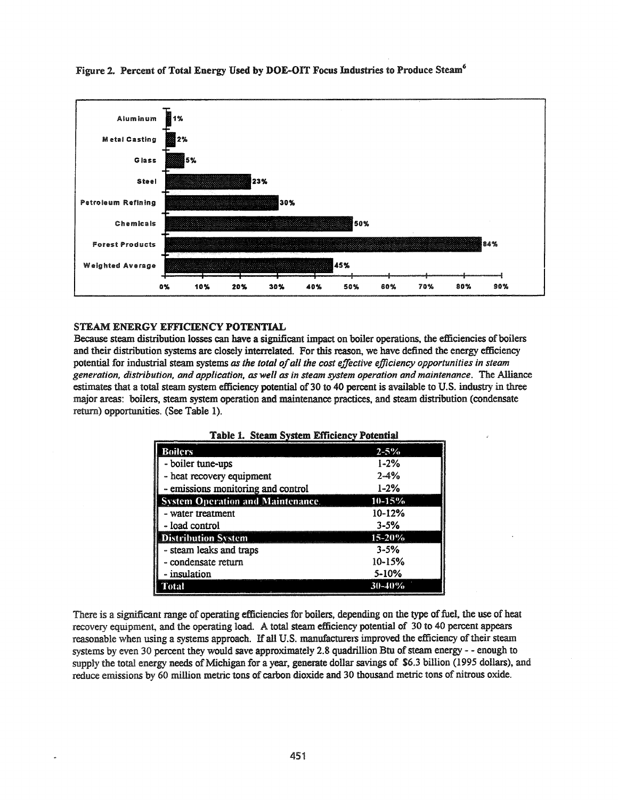

# Figure 2. Percent of Total Energy Used by DOE-OIT Focus Industries to Produce Steam'

# STEAM ENERGY EFFICIENCY POTENTIAL

Because steam distribution losses can have a significant impact on boiler operations, the efficiencies of boilers and their distribution systems are closely interrelated. For this reason, we have defined the energy efficiency potential for industrial steam systems *as the total ofall the cost effective efficiency opportunities in steam generation, distribution, and application, as well as in steam system operation and maintenance.* The Alliance estimates that a total steam system efficiency potential of 30 to 40 percent is available to U.S. industry in three major areas: boilers, steam system operation and maintenance practices, and steam distribution (condensate return) opportunities. (See Table 1).

| <b>Boilers</b>                           | $2 - 5\%$  |
|------------------------------------------|------------|
| - boiler tune-ups                        | $1 - 2\%$  |
| - heat recovery equipment                | $2 - 4%$   |
| - emissions monitoring and control       | $1 - 2%$   |
| <b>System Operation and Maintenance.</b> | 10-15%     |
| - water treatment                        | $10-12%$   |
| - load control                           | $3 - 5%$   |
| <b>Distribution System</b>               | 15-20%     |
| - steam leaks and traps                  | $3 - 5%$   |
| - condensate return                      | $10 - 15%$ |
| - insulation                             | $5 - 10%$  |
| Total                                    | 30-40%     |

Table 1. Steam System Efficiency Potential

There is a significant range of operating efficiencies for boilers, depending on the type of fuel, the use of heat recovery equipment, and the operating load. A total steam efficiency potential of 30 to 40 percent appears reasonable when using a systems approach. If all U.S. manufacturers improved the efficiency of their steam systems by even 30 percent they would save approximately 2.8 quadrillion Btu of steam energy - - enough to supply the total energy needs of Michigan for a year, generate dollar savings of \$6.3 billion (1995 dollars), and reduce emissions by 60 million metric tons of carbon dioxide and 30 thousand metric tons of nitrous oxide.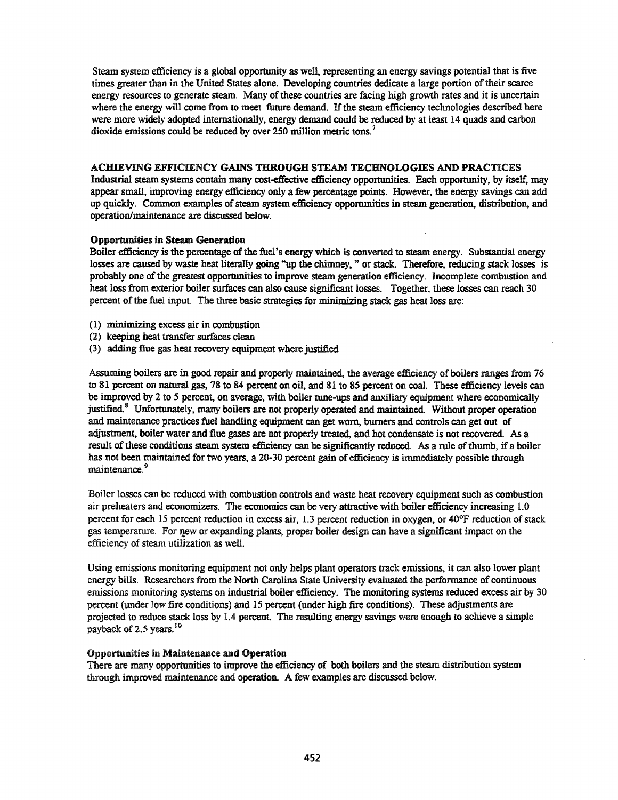Steam system efficiency is a global opportunity as well, representing an energy savings potential that is five times greater than in the United States alone. Developing countries dedicate a large portion oftheir scarce energy resources to generate steam. Many of these countries are facing high growth rates and it is uncertain where the energy will come from to meet future demand. If the steam efficiency technologies described here were more widely adopted internationally, energy demand could be reduced by at least 14 quads and carbon dioxide emissions could be reduced by over 250 million metric tons.<sup>7</sup>

# ACHIEVING EFFICIENCY GAINS THROUGH STEAM TECHNOLOGIES AND PRACTICES

Industrial steam systems contain many cost-effective efficiency opportunities. Each opportunity, by itself, may appear small, improving energy efficiency only a few percentage points. However, the energy savings can add up quickly. Common examples of steam system efficiency opportunities in steam generation, distribution, and operation/maintenance are discussed below.

# Opportunities in Steam Generation

Boiler efficiency is the percentage of the fuel's energy which is converted to steam energy. Substantial energy losses are caused by waste heat literally going "up the chimney," or stack. Therefore, reducing stack losses is probably one of the greatest opportunities to improve steam generation efficiency. Incomplete combustion and heat loss from exterior boiler surfaces can also cause significant losses. Together, these losses can reach 30 percent of the fuel input. The three basic strategies for minimizing stack gas heat loss are:

- (l) minimizing excess air in combustion
- (2) keeping heat transfer surfaces clean
- (3) adding flue gas heat recovery equipment where justified

Assuming boilers are in good repair and properly maintained, the average efficiency of boilers ranges from 76 to 81 percent on natural gas, 78 to 84 percent on oil, and 81 to 85 percent on coal. These efficiency levels can be improved by 2 to 5 percent, on average, with boiler tune-ups and auxiliary equipment where economically justified.<sup>8</sup> Unfortunately, many boilers are not properly operated and maintained. Without proper operation and maintenance practices fuel handling equipment can get worn, burners and controls can get out of adjustment, boiler water and flue gases are not properly treated, and hot condensate is not recovered. As a result of these conditions steam system efficiency can be significantly reduced. As a rule of thumb, if a boiler has not been maintained for two years, a 20-30 percent gain of efficiency is immediately possible through maintenance.<sup>9</sup>

Boiler losses can be reduced with combustion controls and waste heat recovery equipment such as combustion air preheaters and economizers. The economics can be very attractive with boiler efficiency increasing 1.0 percent for each 15 percent reduction in excess air, 1.3 percent reduction in oxygen, or 40°F reduction ofstack gas temperature. For qew or expanding plants, proper boiler design can have a significant impact on the efficiency of steam utilization as well.

Using emissions monitoring equipment not only helps plant operators track emissions, it can also lower plant energy bills. Researchers from the North Carolina State University evaluated the performance of continuous emissions monitoring systems on industrial boiler efficiency. The monitoring systems reduced excess air by 30 percent (under low fire conditions) and 15 percent (under high fire conditions). These adjustments are projected to reduce stack loss by 1.4 percent. The resulting energy savings were enough to achieve a simple payback of 2.5 years.<sup>10</sup>

### Opportunities in Maintenance and Operation

There are many opportunities to improve the efficiency of both boilers and the steam distribution system through improved maintenance and operation. A few examples are discussed below.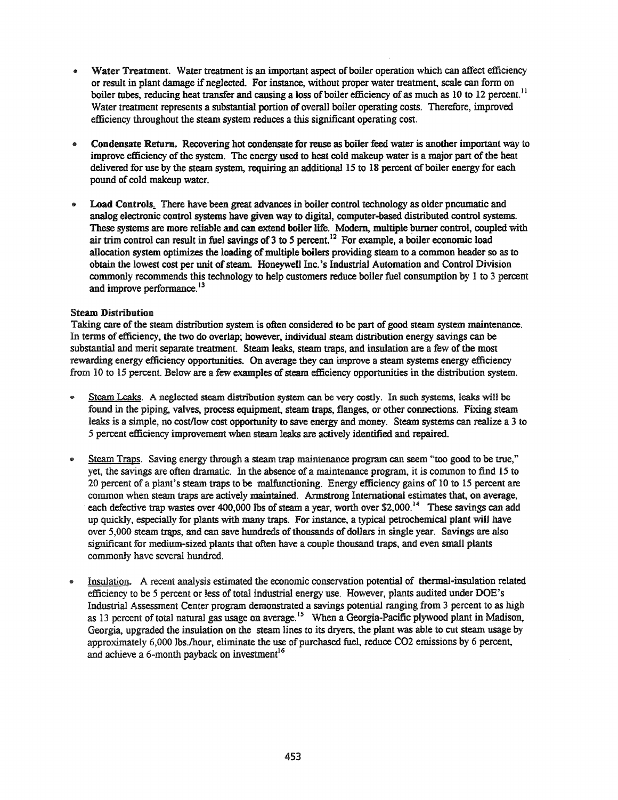- Water Treatment. Water treatment is an important aspect of boiler operation which can affect efficiency or result in plant damage if neglected. For instance, without proper water treatment, scale can form on boiler tubes, reducing heat transfer and causing a loss of boiler efficiency of as much as 10 to 12 percent.<sup>11</sup> Water treatment represents a substantial portion of overall boiler operating costs. Therefore, improved efficiency throughout the steam system reduces a this significant operating cost.
- Condensate Return. Recovering hot condensate for reuse as boiler feed water is another important way to improve efficiency of the system. The energy used to heat cold makeup water is a major part of the heat delivered for use by the steam system, requiring an additional 15 to 18 percent of boiler energy for each pound of cold makeup water.
- Load Controls. There have been great advances in boiler control technology as older pneumatic and analog electronic control systems have given way to digital, computer-based distributed control systems. These systems are more reliable and can extend boiler life. Modem, multiple burner control, coupled with air trim control can result in fuel savings of  $3$  to  $5$  percent.<sup>12</sup> For example, a boiler economic load allocation system optimizes the loading of multiple boilers providing steam to a common header so as to obtain the lowest cost per unit of steam. Honeywell Inc.'s Industrial Automation and Control Division commonly recommends this teclmology to help customers reduce boiler fuel consumption by I to 3 percent and improve performance.<sup>13</sup>

## Steam Distribution

Taking care ofthe steam distribution system is often considered to be part of good steam system maintenance. In terms of efficiency, the two do overlap; however, individual steam distribution energy savings can be substantial and merit separate treatment. Steam leaks, steam traps, and insulation are a few of the most rewarding energy efficiency opportunities. On average they can improve a steam systems energy efficiency from 10 to 15 percent. Below are a few examples of steam efficiency opportunities in the distribution system.

- Steam Leaks. A neglected steam distribution system can be very costly. In such systems, leaks will be found in the piping, valves, process equipment, steam traps, flanges, or other connections. Fixing steam leaks is a simple, no cost/low cost opportunity to save energy and money. Steam systems can realize a 3 to 5 percent efficiency improvement when steam leaks are actively identified and repaired.
- Steam Traps. Saving energy through a steam trap maintenance program can seem "too good to be true," yet, the savings are often dramatic. In the absence of a maintenance program, it is common to find 15 to 20 percent of a plant's steam traps to be malfunctioning. Energy efficiency gains of 10 to 15 percent are common when steam traps are actively maintained. Armstrong International estimates that, on average, each defective trap wastes over 400,000 lbs of steam a year, worth over \$2,000.<sup>14</sup> These savings can add up quickly, especially for plants with many traps. For instance, a typical petrochemical plant will have over 5,000 steam traps, and can save hundreds of thousands of dollars in single year. Savings are also significant for medium-sized plants that often have a couple thousand traps, and even small plants commonly have several hundred.
- Insulation. A recent analysis estimated the economic conservation potential of thermal-insulation related efficiency to be 5 percent or less of total industrial energy use. However, plants audited under DOE's Industrial Assessment Center program demonstrated a savings potential ranging from 3 percent to as high as 13 percent of total natural gas usage on average.<sup>15</sup> When a Georgia-Pacific plywood plant in Madison, Georgia, upgraded the insulation on the steam lines to its dryers. the plant was able to cut steam usage by approximately 6,000 lbs./hour, eliminate the use of purchased fuel, reduce C02 emissions by 6 percent, and achieve a 6-month payback on investment<sup>16</sup>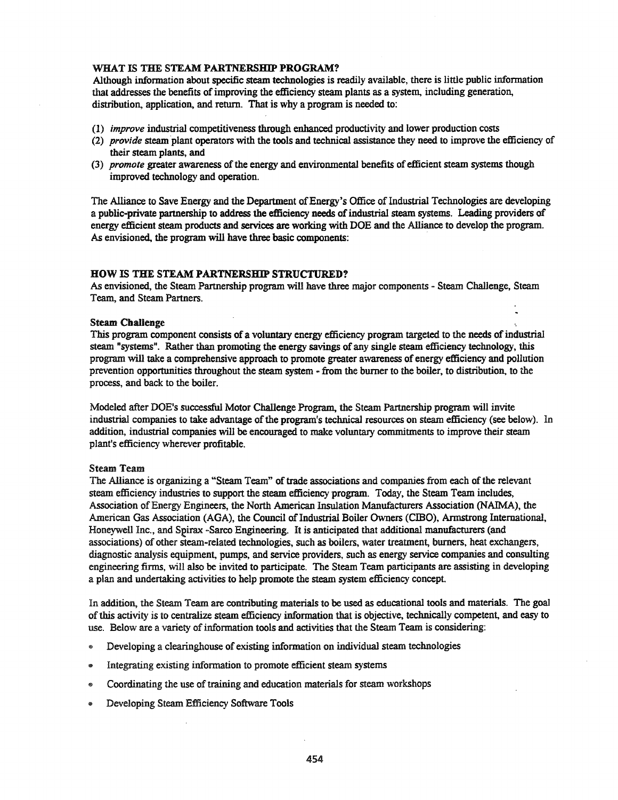# WHAT IS THE STEAM PARTNERSHIP PROGRAM?

Although information about specific steam technologies is readily available, there is little public information that addresses the benefits ofimproving the efficiency steam plants as a system, including generation, distribution, application, and return. That is why a program is needed to:

- (1) *improve* industrial competitiveness through enhanced productivity and lower production costs
- (2) *provide* steam plant operators with the tools and technical assistance they need to improve the efficiency of their steam plants, and
- (3) *promote* greater awareness ofthe energy and environmental benefits of efficient steam systems though improved technology and operation.

The Alliance to Save Energy and the Department of Energy's Office of Industrial Technologies are developing a public-private partnership to address the efficiency needs ofindustrial steam systems. Leading providers of energy efficient steam products and services are working with DOE and the Alliance to develop the program. As envisioned, the program will have three basic components:

## HOW IS THE STEAM PARTNERSHIP STRUCTURED?

As envisioned, the Steam Partnership program will have three major components - Steam Challenge, Steam Team, and Steam Partners.

## Steam Challenge

This program component consists of a voluntary energy efficiency program targeted to the needs of industrial steam "systems". Rather than promoting the energy savings of any single steam efficiency technology, this program will take a comprehensive approach to promote greater awareness of energy efficiency and pollution prevention opportunities throughout the steam system - from the burner to the boiler, to distribution, to the process, and back to the boiler.

Modeled after DOE's successful Motor Challenge Program, the Steam Partnership program will invite industrial companies to take advantage of the program's technical resources on steam efficiency (see below). In addition, industrial companies will be encouraged to make voluntary commitments to improve their steam plant's efficiency wherever profitable.

### Steam Team

The Alliance is organizing a "Steam Team" of trade associations and companies from each of the relevant steam efficiency industries to support the steam efficiency program. Today, the Steam Team includes, Association of Energy Engineers, the North American Insulation Manufacturers Association (NAIMA), the American Gas Association (AGA), the Council of Industrial Boiler Owners (CIBO), Armstrong International, Honeywell Inc., and Spirax -Sarco Engineering. It is anticipated that additional manufacturers (and associations) of other steam-related technologies, such as boilers, water treatment, burners, heat exchangers, diagnostic analysis equipment, pumps, and service providers, such as energy service companies and consulting engineering firms, will also be invited to participate. The Steam Team participants are assisting in developing a plan and undertaking activities to help promote the steam system efficiency concept.

In addition, the Steam Team are contributing materials to be used as educational tools and materials. The goal ofthis activity is to centralize steam efficiency information that is objective, technically competent, and easy to use. Below are a variety of information tools and activities that the Steam Team is considering:

- @ Developing a clearinghouse of existing information on individual steam technologies
- Integrating existing information to promote efficient steam systems
- $\bullet$  Coordinating the use of training and education materials for steam workshops
- .. Developing Steam Efficiency Software Tools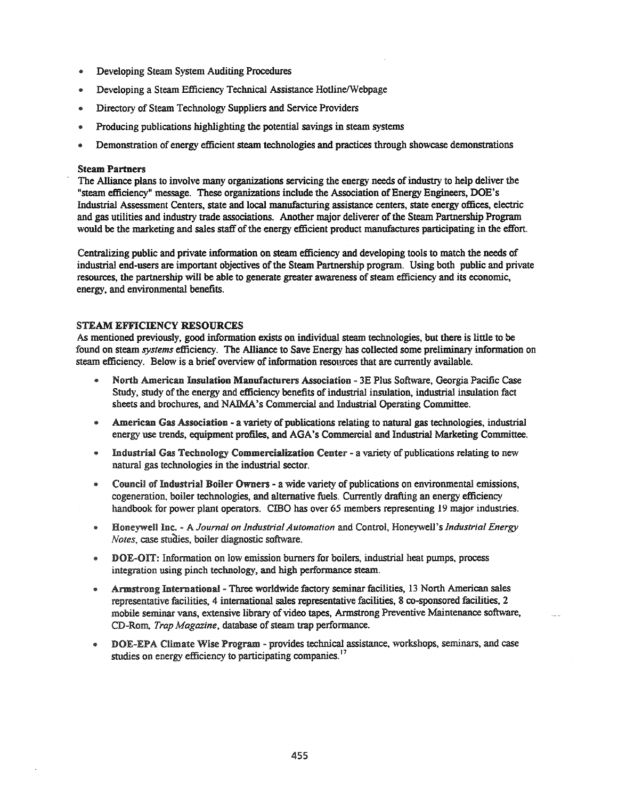- .. Developing Stearn System Auditing Procedures
- Developing a Steam Efficiency Technical Assistance Hotline/Webpage
- .. Directory of Stearn Technology Suppliers and Service Providers
- .. Producing publications highlighting the potential savings in stearn systems
- .. Demonstration of energy efficient stearn technologies and practices through showcase demonstrations

### Steam Partners

The Alliance plans to involve many organizations servicing the energy needs of industry to help deliver the "steam efficiency" message. These organizations include the Association of Energy Engineers, DOE's Industrial Assessment Centers, state and local manufacturing assistance centers, state energy offices, electric and gas utilities and industry trade associations. Another major deliverer of the Steam Partnership Program would be the marketing and sales staff of the energy efficient product manufactures participating in the effort.

Centralizing public and private information on steam efficiency and developing tools to match the needs of industrial end-users are important objectives of the Steam Partnership program. Using both public and private resources, the partnership will be able to generate greater awareness of steam efficiency and its economic, energy, and environmental benefits.

### STEAM EFFICIENCY RESOURCES

As mentioned previously, good information exists on individual stearn technologies, but there is little to be found on stearn *systems* efficiency. The Alliance to Save Energy has collected some preliminary information on steam efficiency. Below is a brief overview of information resources that are currently available.

- .. North American Insulation Manufacturers Association 3E Plus Software, Georgia Pacific Case Study, study of the energy and efficiency benefits of industrial insulation, industrial insulation fact sheets and brochures, and NAIMA's Commercial and Industrial Operating Committee.
- American Gas Association a variety of publications relating to natural gas technologies, industrial energy use trends, equipment profiles, and AGA's Commercial and Industrial Marketing Committee.
- .. Industrial Gas Technology Commercialization Center a variety of publications relating to new natural gas technologies in the industrial sector.
- @ Council of Industrial Boiler Owners a wide variety of publications on environmental emissions, cogeneration, boiler technologies, and alternative fuels. Currently drafting an energy efficiency handbook for power plant operators. CIBO has over 65 members representing 19 major industries.
- @ HOJrneywell Inc. A *Journal on Industrial Automation* and Control, Honeywell's *Industrial Energy Notes,* case studies, boiler diagnostic software.
- .. DOE-OIT: Information on low emission burners for boilers, industrial heat pumps, process integration using pinch technology, and high performance steam.
- @ Armstrong International Three worldwide factory seminar facilities, 13 North American sales representative facilities, 4 international sales representative facilities, 8 co-sponsored facilities. 2 mobile seminar vans, extensive library of video tapes, Armstrong Preventive Maintenance software, CD-Rom, *Trap Magazine*, database of steam trap performance.
- DOE-EPA Climate Wise Program provides technical assistance, workshops, seminars, and case studies on energy efficiency to participating companies.<sup>17</sup>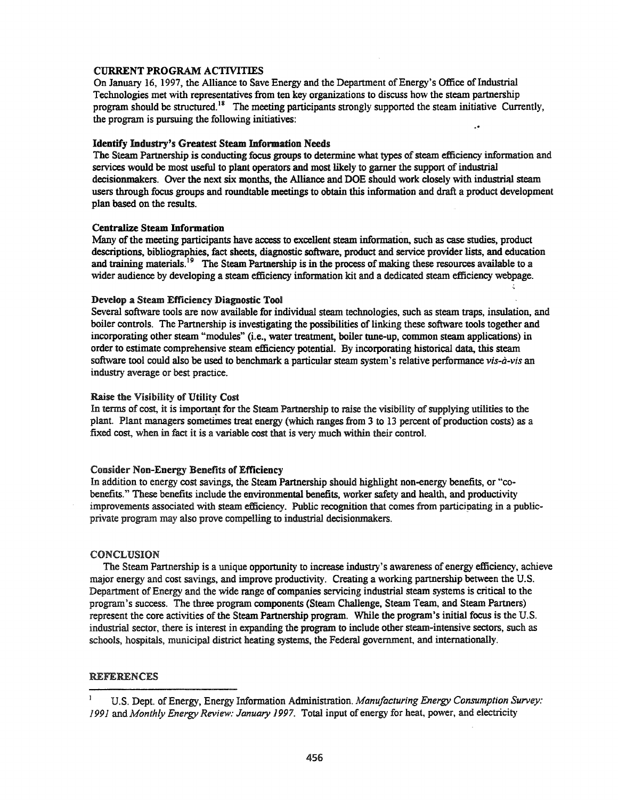#### CURRENT PROGRAM ACTIVITIES

On January 16, 1997, the Alliance to Save Energy and the Department of Energy's Office of Industrial Technologies met with representatives from ten key organizations to discuss how the steam partnership program should be structured.<sup>18</sup> The meeting participants strongly supported the steam initiative Currently, the program is pursuing the following initiatives:

### Identify Industry's Greatest Steam Information Needs

The Steam Partnership is conducting focus groups to determine what types of steam efficiency information and services would be most useful to plant operators and most likely to garner the support of industrial decisionmakers. Over the next six months, the Alliance and DOE should work closely with industrial steam users through focus groups and roundtable meetings to obtain this information and draft a product development plan based on the results.

### Centralize Steam Information

Many of the meeting participants have access to excellent steam information, such as case studies, product descriptions, bibliographies, fact sheets, diagnostic software, product and service provider lists, and education and training materials.<sup>19</sup> The Steam Partnership is in the process of making these resources available to a wider audience by developing a steam efficiency information kit and a dedicated steam efficiency webpage.

#### Develop a Steam Efficiency Diagnostic Tool

Several software tools are now available for individual steam technologies, such as steam traps, insulation, and boiler controls. The Partnership is investigating the possibilities of linking these software tools together and incorporating other steam "modules" (i.e., water treatment, boiler tune-up, common steam applications) in order to estimate comprehensive steam efficiency potential. By incorporating historical data, this steam software tool could also be used to benchmark a particular steam system's relative performance *vis-à-vis* an industry average or best practice.

#### Raise the Visibility of Utility Cost

In terms of cost, it is important for the Steam Partnership to raise the visibility of supplying utilities to the plant. Plant managers sometimes treat energy (which ranges from 3 to 13 percent of production costs) as a fixed cost, when in fact it is a variable cost that is very much within their control.

### Consider Non-Energy Benefits of Efficiency

In addition to energy cost savings, the Steam Partnership should highlight non-energy benefits, or "cobenefits." These benefits include the environmental benefits, worker safety and health, and productivity improvements associated with steam efficiency. Public recognition that comes from participating in a publicprivate program may also prove compelling to industrial decisionmakers.

#### CONCLUSION

The Steam Partnership is a unique opportunity to increase industry's awareness of energy efficiency, achieve major energy and cost savings, and improve productivity. Creating a working partnership between the U.S. Department of Energy and the wide range of companies servicing industrial steam systems is critical to the program's success. The three program components (Steam Challenge, Steam Team, and Steam Partners) represent the core activities of the Steam Partnership program. While the program's initial focus is the U.S. industrial sector, there is interest in expanding the program to include other steam-intensive sectors, such as schools, hospitals, municipal district heating systems, the Federal government, and internationally.

#### REFERENCES

u.s. Dept. ofEnergy, Energy Information Administration. *Manufacturing Energy Consumption Survey:* 1991 and *Month/y Energy Review: January* 1997. Total input of energy for heat, power, and electricity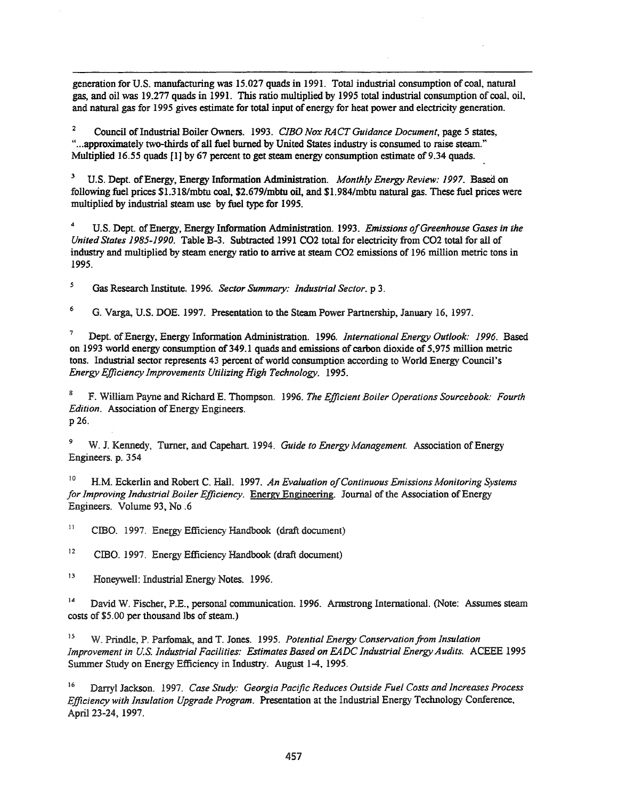generation for U.S. manufacturing was 15.027 quads in 1991. Total industrial consumption of coal, natural gas, and oil was 19.277 quads in 1991. This ratio multiplied by 1995 total industrial consumption of coal, oil, and natural gas for 1995 gives estimate for total input of energy for heat power and electricity generation.

<sup>2</sup> Council ofIndustrial Boiler Owners. 1993. *CIBO Nox RACT Guidance Document,* page 5 states, "...approximately two-thirds of all fuel burned by United States industry is consumed to raise steam." Multiplied 16.55 quads [1] by 67 percent to get steam energy consumption estimate of 9.34 quads.

<sup>3</sup> U.S. Dept. ofEnergy, Energy Information Administration. *Monthly Energy Review:* 1997. Based on following fuel prices \$1.318/mbtu coal, \$2.679/mbtu oil, and \$1.984/mbtu natural gas. These fuel prices were multiplied by industrial steam use by fuel type for 1995.

4 U.S. Dept. ofEnergy, Energy Information Administration. 1993. *Emissions ofGreenhouse Gases in the United States 1985-1990.* Table B-3. Subtracted 1991 C02 total for electricity from C02 total for all of industry and multiplied by steam energy ratio to arrive at steam C02 emissions of 196 million metric tons in 1995.

*5* Gas Research Institute. 1996. *Sector Summary: Industrial Sector.* p 3.

6 G. Varga, U.S. DOE. 1997. Presentation to the Steam Power Partnership, January 16, 1997.

<sup>7</sup> Dept. ofEnergy, Energy Information Administration. 1996. *International Energy Outlook:* 1996. Based on 1993 world energy consumption of349.1 quads and emissions of carbon dioxide of 5,975 million metric tons. Industrial sector represents 43 percent of world consumption according to World Energy Council's *Energy Efficiency Improvements Utilizing High Technology. 1995.*

<sup>8</sup> F. William Payne and Richard E. Thompson. 1996. *The Efficient Boiler Operations Sourcebook: Fourth Edition.* Association of Energy Engineers. p26.

<sup>9</sup> W. 1. Kennedy, Turner, and Capehart. 1994. *Guide to Energy Management.* Association ofEnergy Engineers. p. 354

<sup>10</sup> H.M. Eckerlin and Robert C. Hall. 1997. *An Evaluation ofContinuous Emissions Monitoring Systems for Improving Industrial Boiler Efficiency.* Energy Engineering. Journal ofthe Association ofEnergy Engineers. Volume 93, No .6

II CIBO. 1997. Energy Efficiency Handbook (draft document)

12 ClBO. 1997. Energy Efficiency Handbook (draft document)

13 Honeywell: Industrial Energy Notes. 1996.

<sup>14</sup> David W. Fischer, P.E., personal communication. 1996. Armstrong International. (Note: Assumes steam costs of \$5.00 per thousand lbs of steam.)

<sup>15</sup> W. Prindle, P. Parfomak, and T. Jones. 1995. *Potential Energy Conservation from Insulation Improvement in u.s. Industrial Facilities: Estimates Based on EADC Industrial EnergyAudits.* ACEEE 1995 Swnmer Study on Energy Efficiency in Industry. August 1-4, 1995.

<sup>16</sup> Darryl Jackson. 1997. *Case Study: Georgia Pacific Reduces Outside Fuel Costs and Increases Process Efficiency with Insulation Upgrade Program.* Presentation at the Industrial Energy Technology Conference, April 23-24, 1997.